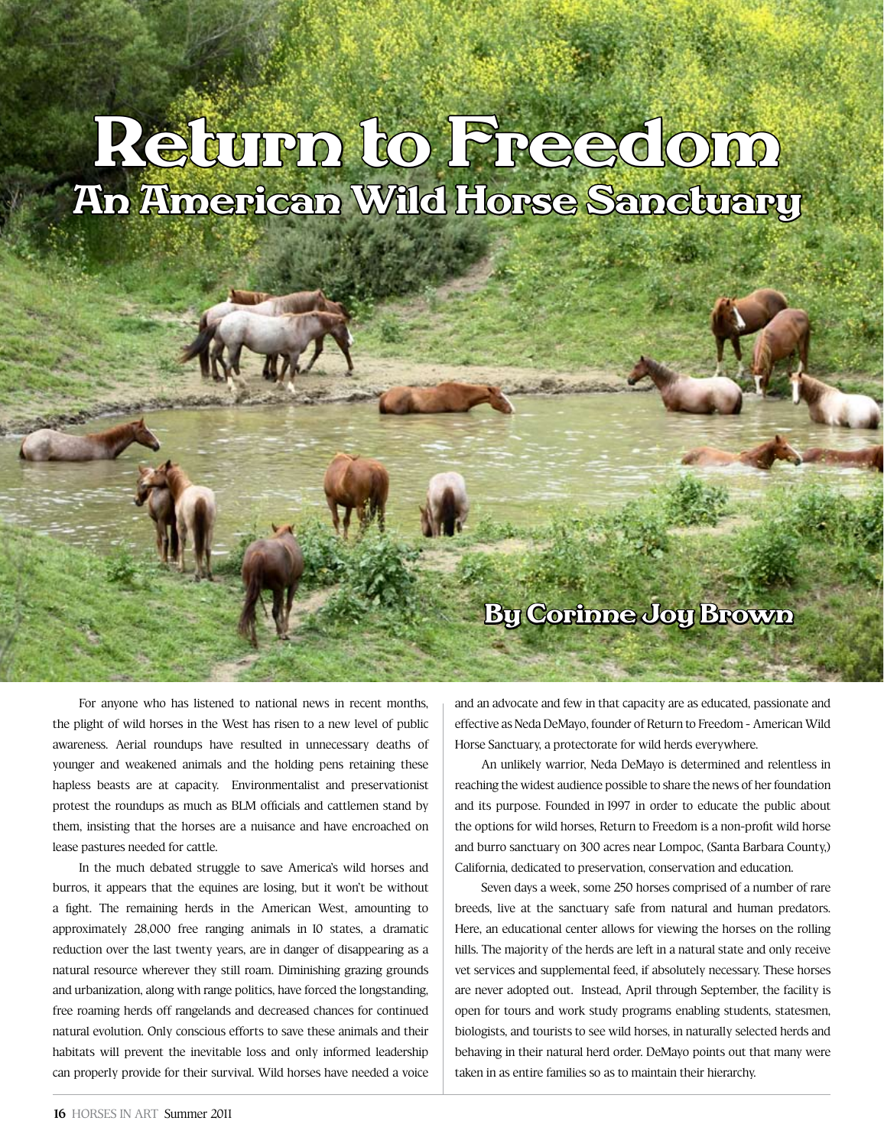## Return to Freedom An American Wild Horse Sanctuary

For anyone who has listened to national news in recent months, the plight of wild horses in the West has risen to a new level of public awareness. Aerial roundups have resulted in unnecessary deaths of younger and weakened animals and the holding pens retaining these hapless beasts are at capacity. Environmentalist and preservationist protest the roundups as much as BLM officials and cattlemen stand by them, insisting that the horses are a nuisance and have encroached on lease pastures needed for cattle.

In the much debated struggle to save America's wild horses and burros, it appears that the equines are losing, but it won't be without a fight. The remaining herds in the American West, amounting to approximately 28,000 free ranging animals in 10 states, a dramatic reduction over the last twenty years, are in danger of disappearing as a natural resource wherever they still roam. Diminishing grazing grounds and urbanization, along with range politics, have forced the longstanding, free roaming herds off rangelands and decreased chances for continued natural evolution. Only conscious efforts to save these animals and their habitats will prevent the inevitable loss and only informed leadership can properly provide for their survival. Wild horses have needed a voice and an advocate and few in that capacity are as educated, passionate and effective as Neda DeMayo, founder of Return to Freedom - American Wild Horse Sanctuary, a protectorate for wild herds everywhere.

By Corinne Joy Brown

An unlikely warrior, Neda DeMayo is determined and relentless in reaching the widest audience possible to share the news of her foundation and its purpose. Founded in 1997 in order to educate the public about the options for wild horses, Return to Freedom is a non-profit wild horse and burro sanctuary on 300 acres near Lompoc, (Santa Barbara County,) California, dedicated to preservation, conservation and education.

Seven days a week, some 250 horses comprised of a number of rare breeds, live at the sanctuary safe from natural and human predators. Here, an educational center allows for viewing the horses on the rolling hills. The majority of the herds are left in a natural state and only receive vet services and supplemental feed, if absolutely necessary. These horses are never adopted out. Instead, April through September, the facility is open for tours and work study programs enabling students, statesmen, biologists, and tourists to see wild horses, in naturally selected herds and behaving in their natural herd order. DeMayo points out that many were taken in as entire families so as to maintain their hierarchy.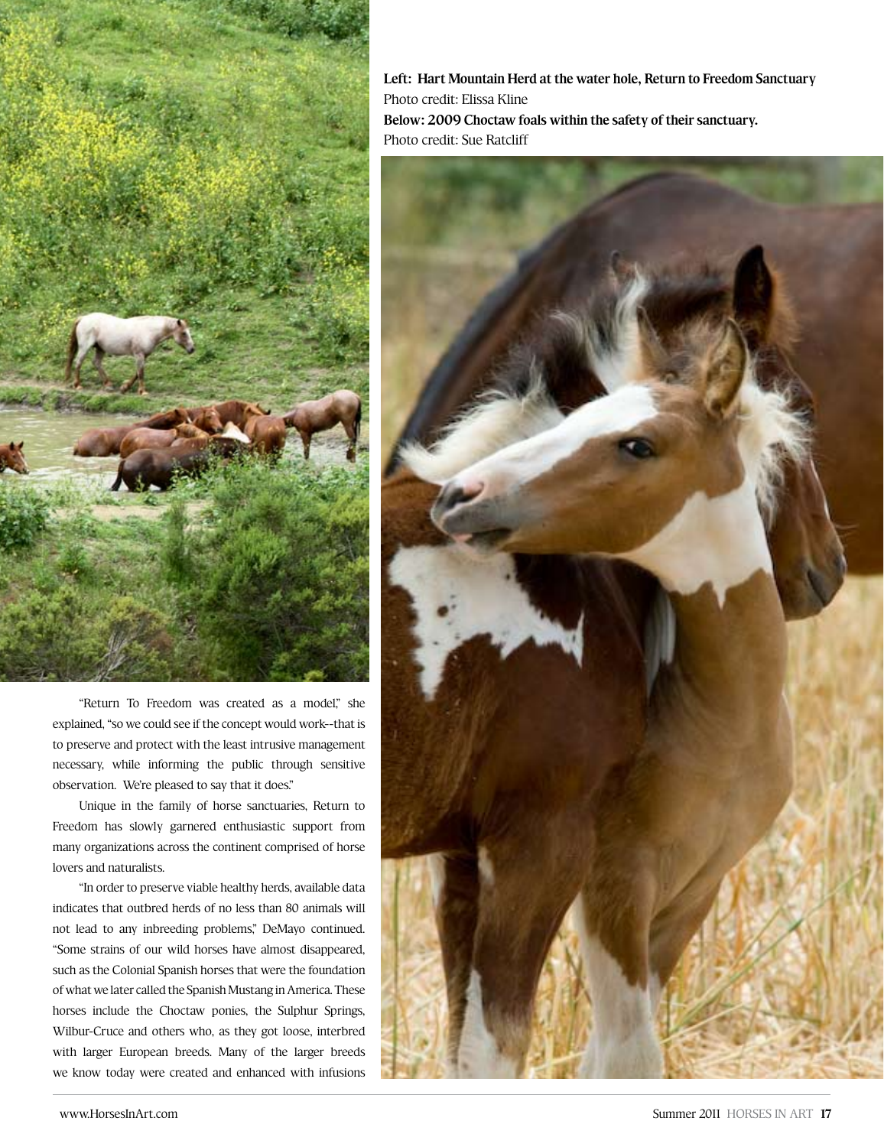

"Return To Freedom was created as a model," she explained, "so we could see if the concept would work--that is to preserve and protect with the least intrusive management necessary, while informing the public through sensitive observation. We're pleased to say that it does."

Unique in the family of horse sanctuaries, Return to Freedom has slowly garnered enthusiastic support from many organizations across the continent comprised of horse lovers and naturalists.

"In order to preserve viable healthy herds, available data indicates that outbred herds of no less than 80 animals will not lead to any inbreeding problems," DeMayo continued. "Some strains of our wild horses have almost disappeared, such as the Colonial Spanish horses that were the foundation of what we later called the Spanish Mustang in America. These horses include the Choctaw ponies, the Sulphur Springs, Wilbur-Cruce and others who, as they got loose, interbred with larger European breeds. Many of the larger breeds we know today were created and enhanced with infusions

**Left: Hart Mountain Herd at the water hole, Return to Freedom Sanctuary** Photo credit: Elissa Kline **Below: 2009 Choctaw foals within the safety of their sanctuary.**  Photo credit: Sue Ratcliff

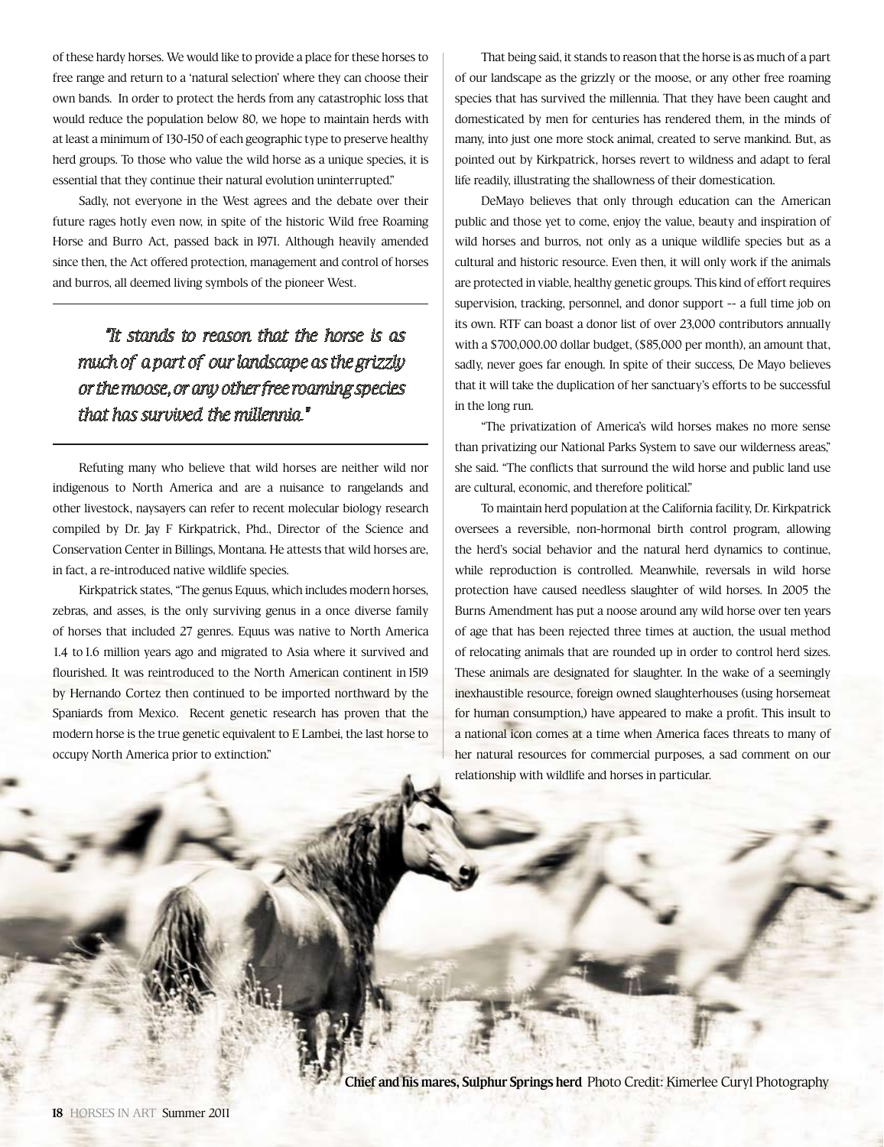of these hardy horses. We would like to provide a place for these horses to free range and return to a 'natural selection' where they can choose their own bands. In order to protect the herds from any catastrophic loss that would reduce the population below 80, we hope to maintain herds with at least a minimum of 130-150 of each geographic type to preserve healthy herd groups. To those who value the wild horse as a unique species, it is essential that they continue their natural evolution uninterrupted."

Sadly, not everyone in the West agrees and the debate over their future rages hotly even now, in spite of the historic Wild free Roaming Horse and Burro Act, passed back in 1971. Although heavily amended since then, the Act offered protection, management and control of horses and burros, all deemed living symbols of the pioneer West.

## *"It stands to reason that the horse is as much of a part of our landscape as the grizzly or the moose, or any other free roaming species that has survived the millennia."*

Refuting many who believe that wild horses are neither wild nor indigenous to North America and are a nuisance to rangelands and other livestock, naysayers can refer to recent molecular biology research compiled by Dr. Jay F Kirkpatrick, Phd., Director of the Science and Conservation Center in Billings, Montana. He attests that wild horses are, in fact, a re-introduced native wildlife species.

Kirkpatrick states, "The genus Equus, which includes modern horses, zebras, and asses, is the only surviving genus in a once diverse family of horses that included 27 genres. Equus was native to North America 1.4 to 1.6 million years ago and migrated to Asia where it survived and flourished. It was reintroduced to the North American continent in 1519 by Hernando Cortez then continued to be imported northward by the Spaniards from Mexico. Recent genetic research has proven that the modern horse is the true genetic equivalent to E Lambei, the last horse to occupy North America prior to extinction."

That being said, it stands to reason that the horse is as much of a part of our landscape as the grizzly or the moose, or any other free roaming species that has survived the millennia. That they have been caught and domesticated by men for centuries has rendered them, in the minds of many, into just one more stock animal, created to serve mankind. But, as pointed out by Kirkpatrick, horses revert to wildness and adapt to feral life readily, illustrating the shallowness of their domestication.

DeMayo believes that only through education can the American public and those yet to come, enjoy the value, beauty and inspiration of wild horses and burros, not only as a unique wildlife species but as a cultural and historic resource. Even then, it will only work if the animals are protected in viable, healthy genetic groups. This kind of effort requires supervision, tracking, personnel, and donor support -- a full time job on its own. RTF can boast a donor list of over 23,000 contributors annually with a \$700,000.00 dollar budget, (\$85,000 per month), an amount that, sadly, never goes far enough. In spite of their success, De Mayo believes that it will take the duplication of her sanctuary's efforts to be successful in the long run.

"The privatization of America's wild horses makes no more sense than privatizing our National Parks System to save our wilderness areas," she said. "The conflicts that surround the wild horse and public land use are cultural, economic, and therefore political."

To maintain herd population at the California facility, Dr. Kirkpatrick oversees a reversible, non-hormonal birth control program, allowing the herd's social behavior and the natural herd dynamics to continue, while reproduction is controlled. Meanwhile, reversals in wild horse protection have caused needless slaughter of wild horses. In 2005 the Burns Amendment has put a noose around any wild horse over ten years of age that has been rejected three times at auction, the usual method of relocating animals that are rounded up in order to control herd sizes. These animals are designated for slaughter. In the wake of a seemingly inexhaustible resource, foreign owned slaughterhouses (using horsemeat for human consumption,) have appeared to make a profit. This insult to a national icon comes at a time when America faces threats to many of her natural resources for commercial purposes, a sad comment on our relationship with wildlife and horses in particular.

**Chief and his mares, Sulphur Springs herd** Photo Credit: Kimerlee Curyl Photography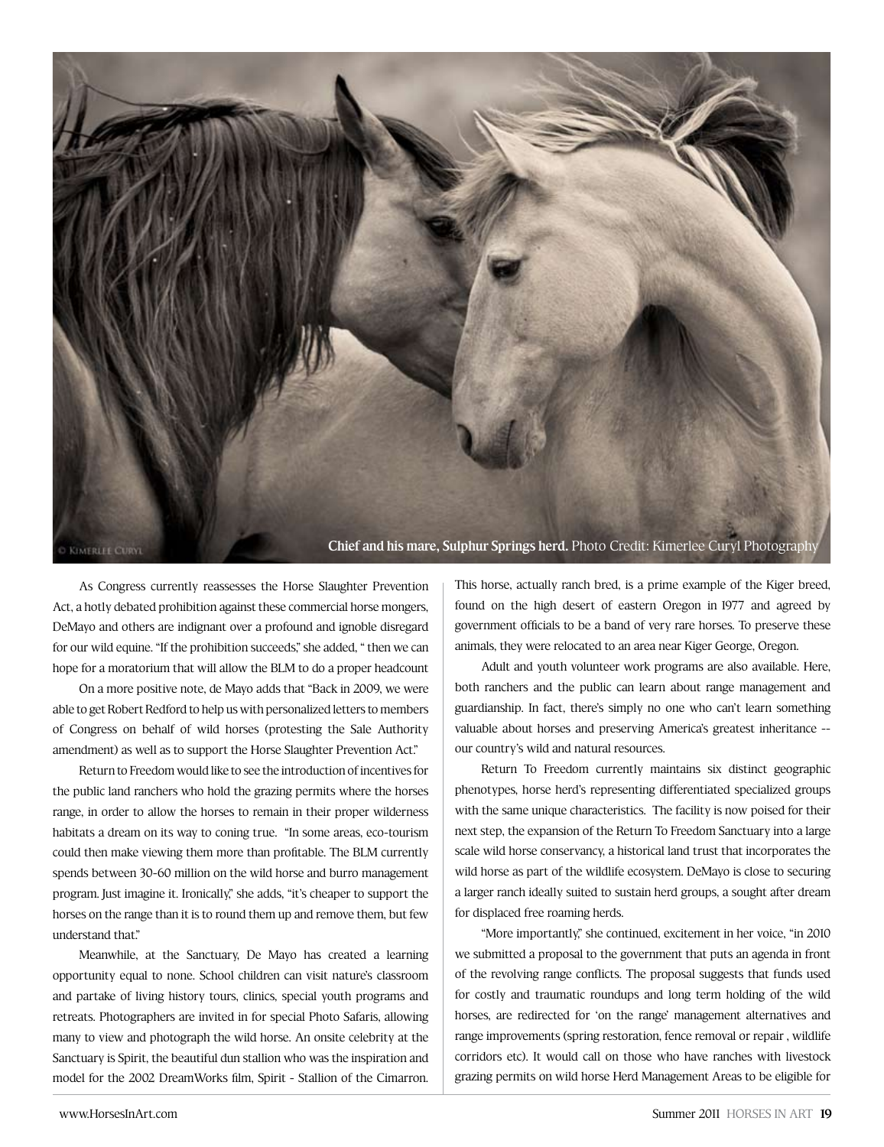

As Congress currently reassesses the Horse Slaughter Prevention Act, a hotly debated prohibition against these commercial horse mongers, DeMayo and others are indignant over a profound and ignoble disregard for our wild equine. "If the prohibition succeeds," she added, " then we can hope for a moratorium that will allow the BLM to do a proper headcount

 On a more positive note, de Mayo adds that "Back in 2009, we were able to get Robert Redford to help us with personalized letters to members of Congress on behalf of wild horses (protesting the Sale Authority amendment) as well as to support the Horse Slaughter Prevention Act."

Return to Freedom would like to see the introduction of incentives for the public land ranchers who hold the grazing permits where the horses range, in order to allow the horses to remain in their proper wilderness habitats a dream on its way to coning true. "In some areas, eco-tourism could then make viewing them more than profitable. The BLM currently spends between 30-60 million on the wild horse and burro management program. Just imagine it. Ironically," she adds, "it's cheaper to support the horses on the range than it is to round them up and remove them, but few understand that."

Meanwhile, at the Sanctuary, De Mayo has created a learning opportunity equal to none. School children can visit nature's classroom and partake of living history tours, clinics, special youth programs and retreats. Photographers are invited in for special Photo Safaris, allowing many to view and photograph the wild horse. An onsite celebrity at the Sanctuary is Spirit, the beautiful dun stallion who was the inspiration and model for the 2002 DreamWorks film, Spirit - Stallion of the Cimarron.

This horse, actually ranch bred, is a prime example of the Kiger breed, found on the high desert of eastern Oregon in 1977 and agreed by government officials to be a band of very rare horses. To preserve these animals, they were relocated to an area near Kiger George, Oregon.

Adult and youth volunteer work programs are also available. Here, both ranchers and the public can learn about range management and guardianship. In fact, there's simply no one who can't learn something valuable about horses and preserving America's greatest inheritance - our country's wild and natural resources.

Return To Freedom currently maintains six distinct geographic phenotypes, horse herd's representing differentiated specialized groups with the same unique characteristics. The facility is now poised for their next step, the expansion of the Return To Freedom Sanctuary into a large scale wild horse conservancy, a historical land trust that incorporates the wild horse as part of the wildlife ecosystem. DeMayo is close to securing a larger ranch ideally suited to sustain herd groups, a sought after dream for displaced free roaming herds.

"More importantly," she continued, excitement in her voice, "in 2010 we submitted a proposal to the government that puts an agenda in front of the revolving range conflicts. The proposal suggests that funds used for costly and traumatic roundups and long term holding of the wild horses, are redirected for 'on the range' management alternatives and range improvements (spring restoration, fence removal or repair , wildlife corridors etc). It would call on those who have ranches with livestock grazing permits on wild horse Herd Management Areas to be eligible for